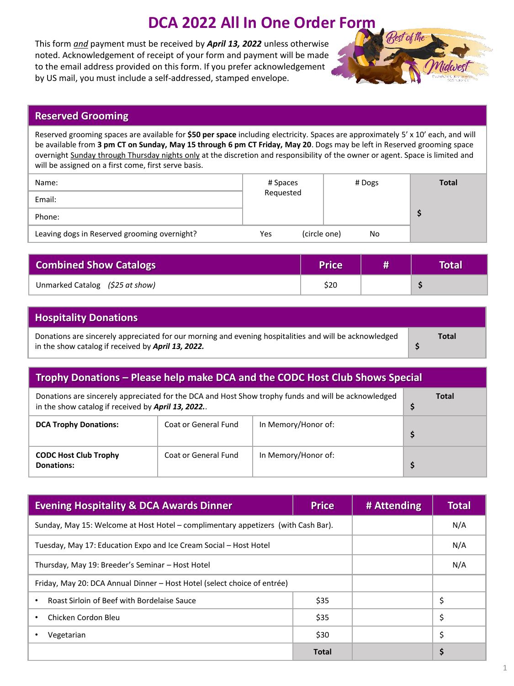## **DCA 2022 All In One Order Form**

This form *and* payment must be received by *April 13, 2022* unless otherwise noted. Acknowledgement of receipt of your form and payment will be made to the email address provided on this form. If you prefer acknowledgement by US mail, you must include a self-addressed, stamped envelope.



## **Reserved Grooming**

Reserved grooming spaces are available for **\$50 per space** including electricity. Spaces are approximately 5' x 10' each, and will be available from **3 pm CT on Sunday, May 15 through 6 pm CT Friday, May 20**. Dogs may be left in Reserved grooming space overnight Sunday through Thursday nights only at the discretion and responsibility of the owner or agent. Space is limited and will be assigned on a first come, first serve basis.

| Name:                                        | # Spaces            | # Dogs | <b>Total</b> |
|----------------------------------------------|---------------------|--------|--------------|
| Email:                                       | Requested           |        |              |
| Phone:                                       |                     |        |              |
| Leaving dogs in Reserved grooming overnight? | (circle one)<br>Yes | No     |              |

| <b>Combined Show Catalogs</b>   | <b>Price</b> | Total |
|---------------------------------|--------------|-------|
| Unmarked Catalog (\$25 at show) | \$20         |       |

| <b>Hospitality Donations</b>                                                                                                                                 |       |
|--------------------------------------------------------------------------------------------------------------------------------------------------------------|-------|
| Donations are sincerely appreciated for our morning and evening hospitalities and will be acknowledged<br>in the show catalog if received by April 13, 2022. | Total |

| Trophy Donations – Please help make DCA and the CODC Host Club Shows Special                                                                              |                      |                     |    |  |  |
|-----------------------------------------------------------------------------------------------------------------------------------------------------------|----------------------|---------------------|----|--|--|
| Donations are sincerely appreciated for the DCA and Host Show trophy funds and will be acknowledged<br>in the show catalog if received by April 13, 2022. | Total<br>Ş           |                     |    |  |  |
| <b>DCA Trophy Donations:</b>                                                                                                                              | Coat or General Fund | In Memory/Honor of: | \$ |  |  |
| <b>CODC Host Club Trophy</b><br>Donations:                                                                                                                | Coat or General Fund | In Memory/Honor of: | Ş  |  |  |

| <b>Evening Hospitality &amp; DCA Awards Dinner</b>                                | <b>Price</b> | # Attending | <b>Total</b> |
|-----------------------------------------------------------------------------------|--------------|-------------|--------------|
| Sunday, May 15: Welcome at Host Hotel – complimentary appetizers (with Cash Bar). |              | N/A         |              |
| Tuesday, May 17: Education Expo and Ice Cream Social – Host Hotel                 |              | N/A         |              |
| Thursday, May 19: Breeder's Seminar - Host Hotel                                  |              |             | N/A          |
| Friday, May 20: DCA Annual Dinner – Host Hotel (select choice of entrée)          |              |             |              |
| Roast Sirloin of Beef with Bordelaise Sauce                                       | \$35         |             | \$           |
| Chicken Cordon Bleu                                                               | \$35         |             | \$           |
| Vegetarian                                                                        | \$30         |             | \$           |
|                                                                                   | Total        |             | \$           |